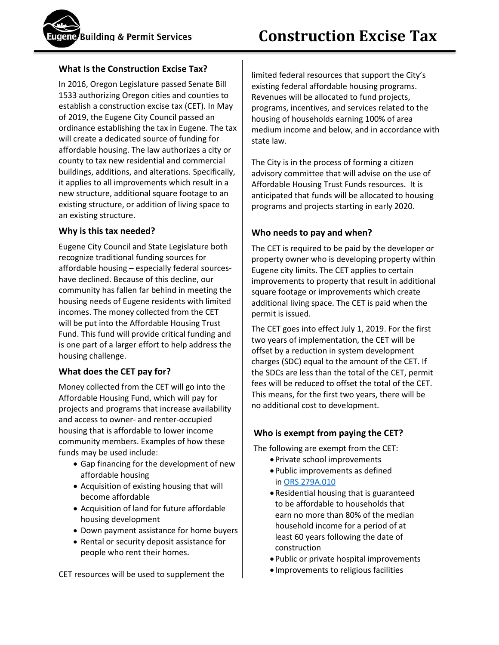## **What Is the Construction Excise Tax?**

In 2016, Oregon Legislature passed Senate Bill 1533 authorizing Oregon cities and counties to establish a construction excise tax (CET). In May of 2019, the Eugene City Council passed an ordinance establishing the tax in Eugene. The tax will create a dedicated source of funding for affordable housing. The law authorizes a city or county to tax new residential and commercial buildings, additions, and alterations. Specifically, it applies to all improvements which result in a new structure, additional square footage to an existing structure, or addition of living space to an existing structure.

#### **Why is this tax needed?**

Eugene City Council and State Legislature both recognize traditional funding sources for affordable housing – especially federal sourceshave declined. Because of this decline, our community has fallen far behind in meeting the housing needs of Eugene residents with limited incomes. The money collected from the CET will be put into the Affordable Housing Trust Fund. This fund will provide critical funding and is one part of a larger effort to help address the housing challenge.

## **What does the CET pay for?**

Money collected from the CET will go into the Affordable Housing Fund, which will pay for projects and programs that increase availability and access to owner- and renter-occupied housing that is affordable to lower income community members. Examples of how these funds may be used include:

- Gap financing for the development of new affordable housing
- Acquisition of existing housing that will become affordable
- Acquisition of land for future affordable housing development
- Down payment assistance for home buyers
- Rental or security deposit assistance for people who rent their homes.

CET resources will be used to supplement the

limited federal resources that support the City's existing federal affordable housing programs. Revenues will be allocated to fund projects, programs, incentives, and services related to the housing of households earning 100% of area medium income and below, and in accordance with state law.

The City is in the process of forming a citizen advisory committee that will advise on the use of Affordable Housing Trust Funds resources. It is anticipated that funds will be allocated to housing programs and projects starting in early 2020.

## **Who needs to pay and when?**

The CET is required to be paid by the developer or property owner who is developing property within Eugene city limits. The CET applies to certain improvements to property that result in additional square footage or improvements which create additional living space. The CET is paid when the permit is issued.

The CET goes into effect July 1, 2019. For the first two years of implementation, the CET will be offset by a reduction in system development charges (SDC) equal to the amount of the CET. If the SDCs are less than the total of the CET, permit fees will be reduced to offset the total of the CET. This means, for the first two years, there will be no additional cost to development.

## **Who is exempt from paying the CET?**

The following are exempt from the CET:

- •Private school improvements
- •Public improvements as defined in [ORS 279A.010](https://www.oregonlaws.org/ors/279A.010)
- •Residential housing that is guaranteed to be affordable to households that earn no more than 80% of the median household income for a period of at least 60 years following the date of construction
- •Public or private hospital improvements
- Improvements to religious facilities